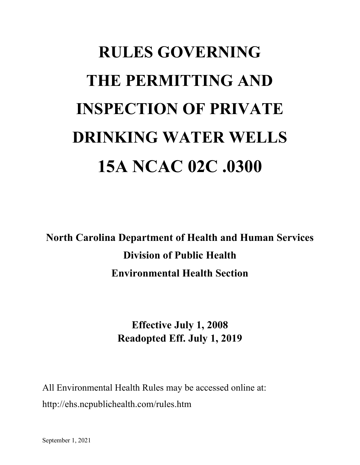# **RULES GOVERNING THE PERMITTING AND INSPECTION OF PRIVATE DRINKING WATER WELLS 15A NCAC 02C .0300**

**North Carolina Department of Health and Human Services Division of Public Health Environmental Health Section**

# **Effective July 1, 2008 Readopted Eff. July 1, 2019**

All Environmental Health Rules may be accessed online at: http://ehs.ncpublichealth.com/rules.htm

September 1, 2021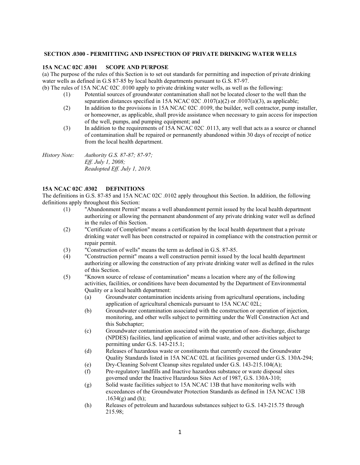#### **SECTION .0300 - PERMITTING AND INSPECTION OF PRIVATE DRINKING WATER WELLS**

#### **15A NCAC 02C .0301 SCOPE AND PURPOSE**

(a) The purpose of the rules of this Section is to set out standards for permitting and inspection of private drinking water wells as defined in G.S 87-85 by local health departments pursuant to G.S. 87-97.

(b) The rules of 15A NCAC 02C .0100 apply to private drinking water wells, as well as the following: (1) Potential sources of groundwater contamination shall not be located closer to the well than the

- separation distances specified in 15A NCAC 02C .0107(a)(2) or .0107(a)(3), as applicable;
- (2) In addition to the provisions in 15A NCAC 02C .0109, the builder, well contractor, pump installer, or homeowner, as applicable, shall provide assistance when necessary to gain access for inspection of the well, pumps, and pumping equipment; and
- (3) In addition to the requirements of 15A NCAC 02C .0113, any well that acts as a source or channel of contamination shall be repaired or permanently abandoned within 30 days of receipt of notice from the local health department.

*History Note: Authority G.S. 87-87; 87-97; Eff. July 1, 2008; Readopted Eff. July 1, 2019.* 

## **15A NCAC 02C .0302 DEFINITIONS**

The definitions in G.S. 87-85 and 15A NCAC 02C .0102 apply throughout this Section. In addition, the following definitions apply throughout this Section:

- (1) "Abandonment Permit" means a well abandonment permit issued by the local health department authorizing or allowing the permanent abandonment of any private drinking water well as defined in the rules of this Section.
- (2) "Certificate of Completion" means a certification by the local health department that a private drinking water well has been constructed or repaired in compliance with the construction permit or repair permit.
- (3) "Construction of wells" means the term as defined in G.S. 87-85.
- (4) "Construction permit" means a well construction permit issued by the local health department authorizing or allowing the construction of any private drinking water well as defined in the rules of this Section.
- (5) "Known source of release of contamination" means a location where any of the following activities, facilities, or conditions have been documented by the Department of Environmental Quality or a local health department:
	- (a) Groundwater contamination incidents arising from agricultural operations, including application of agricultural chemicals pursuant to 15A NCAC 02L;
	- (b) Groundwater contamination associated with the construction or operation of injection, monitoring, and other wells subject to permitting under the Well Construction Act and this Subchapter;
	- (c) Groundwater contamination associated with the operation of non- discharge, discharge (NPDES) facilities, land application of animal waste, and other activities subject to permitting under G.S. 143-215.1;
	- (d) Releases of hazardous waste or constituents that currently exceed the Groundwater Quality Standards listed in 15A NCAC 02L at facilities governed under G.S. 130A-294;
	- (e) Dry-Cleaning Solvent Cleanup sites regulated under G.S. 143-215.104(A);
	- (f) Pre-regulatory landfills and Inactive hazardous substance or waste disposal sites governed under the Inactive Hazardous Sites Act of 1987, G.S. 130A-310;
	- (g) Solid waste facilities subject to 15A NCAC 13B that have monitoring wells with exceedances of the Groundwater Protection Standards as defined in 15A NCAC 13B  $.1634(g)$  and (h);
	- (h) Releases of petroleum and hazardous substances subject to G.S. 143-215.75 through 215.98;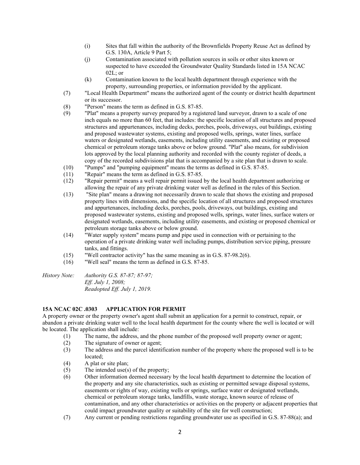- (i) Sites that fall within the authority of the Brownfields Property Reuse Act as defined by G.S. 130A, Article 9 Part 5;
- (j) Contamination associated with pollution sources in soils or other sites known or suspected to have exceeded the Groundwater Quality Standards listed in 15A NCAC  $02L$ ; or
- (k) Contamination known to the local health department through experience with the property, surrounding properties, or information provided by the applicant.
- (7) "Local Health Department" means the authorized agent of the county or district health department or its successor.
- (8) "Person" means the term as defined in G.S. 87-85.
- (9) "Plat" means a property survey prepared by a registered land surveyor, drawn to a scale of one inch equals no more than 60 feet, that includes: the specific location of all structures and proposed structures and appurtenances, including decks, porches, pools, driveways, out buildings, existing and proposed wastewater systems, existing and proposed wells, springs, water lines, surface waters or designated wetlands, easements, including utility easements, and existing or proposed chemical or petroleum storage tanks above or below ground. "Plat" also means, for subdivision lots approved by the local planning authority and recorded with the county register of deeds, a copy of the recorded subdivisions plat that is accompanied by a site plan that is drawn to scale.
- (10) "Pumps" and "pumping equipment" means the terms as defined in G.S. 87-85.
- (11) "Repair" means the term as defined in G.S. 87-85.
- (12) "Repair permit" means a well repair permit issued by the local health department authorizing or allowing the repair of any private drinking water well as defined in the rules of this Section.
- (13) "Site plan" means a drawing not necessarily drawn to scale that shows the existing and proposed property lines with dimensions, and the specific location of all structures and proposed structures and appurtenances, including decks, porches, pools, driveways, out buildings, existing and proposed wastewater systems, existing and proposed wells, springs, water lines, surface waters or designated wetlands, easements, including utility easements, and existing or proposed chemical or petroleum storage tanks above or below ground.
- (14) "Water supply system" means pump and pipe used in connection with or pertaining to the operation of a private drinking water well including pumps, distribution service piping, pressure tanks, and fittings.
- (15) "Well contractor activity" has the same meaning as in G.S. 87-98.2(6).
- (16) "Well seal" means the term as defined in G.S. 87-85.
- *History Note: Authority G.S. 87-87; 87-97; Eff. July 1, 2008; Readopted Eff. July 1, 2019.*

#### **15A NCAC 02C .0303 APPLICATION FOR PERMIT**

A property owner or the property owner's agent shall submit an application for a permit to construct, repair, or abandon a private drinking water well to the local health department for the county where the well is located or will be located. The application shall include:

- (1) The name, the address, and the phone number of the proposed well property owner or agent;
- (2) The signature of owner or agent;
- (3) The address and the parcel identification number of the property where the proposed well is to be located;
- (4) A plat or site plan;
- (5) The intended use(s) of the property;
- (6) Other information deemed necessary by the local health department to determine the location of the property and any site characteristics, such as existing or permitted sewage disposal systems, easements or rights of way, existing wells or springs, surface water or designated wetlands, chemical or petroleum storage tanks, landfills, waste storage, known source of release of contamination, and any other characteristics or activities on the property or adjacent properties that could impact groundwater quality or suitability of the site for well construction;
- (7) Any current or pending restrictions regarding groundwater use as specified in G.S. 87-88(a); and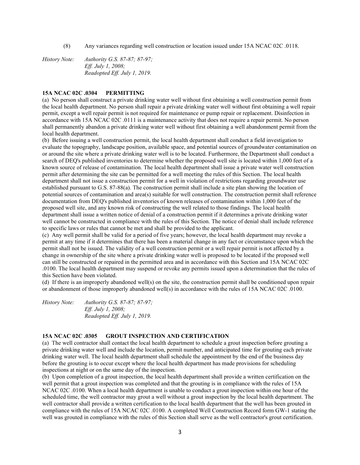(8) Any variances regarding well construction or location issued under 15A NCAC 02C .0118.

*History Note: Authority G.S. 87-87; 87-97; Eff. July 1, 2008; Readopted Eff. July 1, 2019.* 

#### **15A NCAC 02C .0304 PERMITTING**

(a) No person shall construct a private drinking water well without first obtaining a well construction permit from the local health department. No person shall repair a private drinking water well without first obtaining a well repair permit, except a well repair permit is not required for maintenance or pump repair or replacement. Disinfection in accordance with 15A NCAC 02C .0111 is a maintenance activity that does not require a repair permit. No person shall permanently abandon a private drinking water well without first obtaining a well abandonment permit from the local health department.

(b) Before issuing a well construction permit, the local health department shall conduct a field investigation to evaluate the topography, landscape position, available space, and potential sources of groundwater contamination on or around the site where a private drinking water well is to be located. Furthermore, the Department shall conduct a search of DEQ's published inventories to determine whether the proposed well site is located within 1,000 feet of a known source of release of contamination. The local health department shall issue a private water well construction permit after determining the site can be permitted for a well meeting the rules of this Section. The local health department shall not issue a construction permit for a well in violation of restrictions regarding groundwater use established pursuant to G.S. 87-88(a). The construction permit shall include a site plan showing the location of potential sources of contamination and area(s) suitable for well construction. The construction permit shall reference documentation from DEQ's published inventories of known releases of contamination within 1,000 feet of the proposed well site, and any known risk of constructing the well related to those findings. The local health department shall issue a written notice of denial of a construction permit if it determines a private drinking water well cannot be constructed in compliance with the rules of this Section. The notice of denial shall include reference to specific laws or rules that cannot be met and shall be provided to the applicant.

(c) Any well permit shall be valid for a period of five years; however, the local health department may revoke a permit at any time if it determines that there has been a material change in any fact or circumstance upon which the permit shall not be issued. The validity of a well construction permit or a well repair permit is not affected by a change in ownership of the site where a private drinking water well is proposed to be located if the proposed well can still be constructed or repaired in the permitted area and in accordance with this Section and 15A NCAC 02C .0100. The local health department may suspend or revoke any permits issued upon a determination that the rules of this Section have been violated.

(d) If there is an improperly abandoned well(s) on the site, the construction permit shall be conditioned upon repair or abandonment of those improperly abandoned well(s) in accordance with the rules of 15A NCAC 02C .0100.

*History Note: Authority G.S. 87-87; 87-97; Eff. July 1, 2008; Readopted Eff. July 1, 2019.* 

#### **15A NCAC 02C .0305 GROUT INSPECTION AND CERTIFICATION**

(a) The well contractor shall contact the local health department to schedule a grout inspection before grouting a private drinking water well and include the location, permit number, and anticipated time for grouting each private drinking water well. The local health department shall schedule the appointment by the end of the business day before the grouting is to occur except where the local health department has made provisions for scheduling inspections at night or on the same day of the inspection.

(b) Upon completion of a grout inspection, the local health department shall provide a written certification on the well permit that a grout inspection was completed and that the grouting is in compliance with the rules of 15A NCAC 02C .0100. When a local health department is unable to conduct a grout inspection within one hour of the scheduled time, the well contractor may grout a well without a grout inspection by the local health department. The well contractor shall provide a written certification to the local health department that the well has been grouted in compliance with the rules of 15A NCAC 02C .0100. A completed Well Construction Record form GW-1 stating the well was grouted in compliance with the rules of this Section shall serve as the well contractor's grout certification.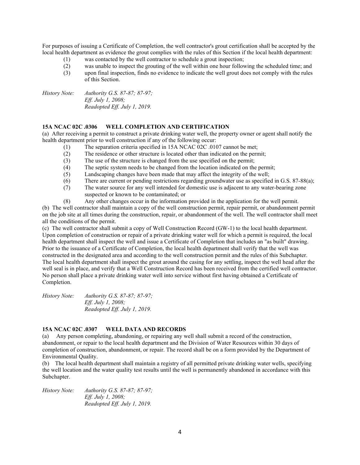For purposes of issuing a Certificate of Completion, the well contractor's grout certification shall be accepted by the local health department as evidence the grout complies with the rules of this Section if the local health department:

- (1) was contacted by the well contractor to schedule a grout inspection;<br>(2) was unable to inspect the grouting of the well within one hour follow
- was unable to inspect the grouting of the well within one hour following the scheduled time; and
- (3) upon final inspection, finds no evidence to indicate the well grout does not comply with the rules of this Section.

*History Note: Authority G.S. 87-87; 87-97; Eff. July 1, 2008; Readopted Eff. July 1, 2019.* 

#### **15A NCAC 02C .0306 WELL COMPLETION AND CERTIFICATION**

(a) After receiving a permit to construct a private drinking water well, the property owner or agent shall notify the health department prior to well construction if any of the following occur:

- (1) The separation criteria specified in 15A NCAC 02C .0107 cannot be met;
- (2) The residence or other structure is located other than indicated on the permit;<br>(3) The use of the structure is changed from the use specified on the permit;
- The use of the structure is changed from the use specified on the permit;
- (4) The septic system needs to be changed from the location indicated on the permit;
- (5) Landscaping changes have been made that may affect the integrity of the well;
- (6) There are current or pending restrictions regarding groundwater use as specified in G.S. 87-88(a);
- (7) The water source for any well intended for domestic use is adjacent to any water-bearing zone suspected or known to be contaminated; or
- (8) Any other changes occur in the information provided in the application for the well permit.

(b) The well contractor shall maintain a copy of the well construction permit, repair permit, or abandonment permit on the job site at all times during the construction, repair, or abandonment of the well. The well contractor shall meet all the conditions of the permit.

(c) The well contractor shall submit a copy of Well Construction Record (GW-1) to the local health department. Upon completion of construction or repair of a private drinking water well for which a permit is required, the local health department shall inspect the well and issue a Certificate of Completion that includes an "as built" drawing. Prior to the issuance of a Certificate of Completion, the local health department shall verify that the well was constructed in the designated area and according to the well construction permit and the rules of this Subchapter. The local health department shall inspect the grout around the casing for any settling, inspect the well head after the well seal is in place, and verify that a Well Construction Record has been received from the certified well contractor. No person shall place a private drinking water well into service without first having obtained a Certificate of Completion.

*History Note: Authority G.S. 87-87; 87-97; Eff. July 1, 2008; Readopted Eff. July 1, 2019.* 

## **15A NCAC 02C .0307 WELL DATA AND RECORDS**

(a) Any person completing, abandoning, or repairing any well shall submit a record of the construction, abandonment, or repair to the local health department and the Division of Water Resources within 30 days of completion of construction, abandonment, or repair. The record shall be on a form provided by the Department of Environmental Quality.

(b) The local health department shall maintain a registry of all permitted private drinking water wells, specifying the well location and the water quality test results until the well is permanently abandoned in accordance with this Subchapter.

*History Note: Authority G.S. 87-87; 87-97; Eff. July 1, 2008; Readopted Eff. July 1, 2019.*